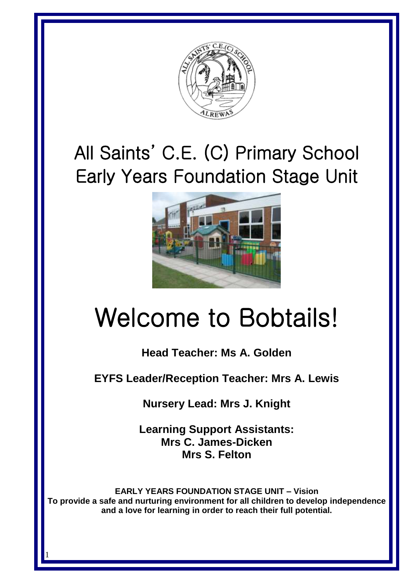

## All Saints' C.E. (C) Primary School Early Years Foundation Stage Unit



# Welcome to Bobtails!

### **Head Teacher: Ms A. Golden**

**EYFS Leader/Reception Teacher: Mrs A. Lewis**

**Nursery Lead: Mrs J. Knight**

**Learning Support Assistants: Mrs C. James-Dicken Mrs S. Felton**

**EARLY YEARS FOUNDATION STAGE UNIT – Vision To provide a safe and nurturing environment for all children to develop independence and a love for learning in order to reach their full potential.**

1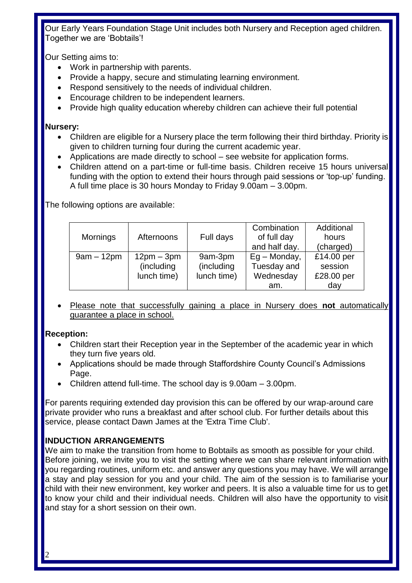Our Early Years Foundation Stage Unit includes both Nursery and Reception aged children. Together we are 'Bobtails'!

Our Setting aims to:

- Work in partnership with parents.
- Provide a happy, secure and stimulating learning environment.
- Respond sensitively to the needs of individual children.
- Encourage children to be independent learners.
- Provide high quality education whereby children can achieve their full potential

#### **Nursery:**

- Children are eligible for a Nursery place the term following their third birthday. Priority is given to children turning four during the current academic year.
- Applications are made directly to school see website for application forms.
- Children attend on a part-time or full-time basis. Children receive 15 hours universal funding with the option to extend their hours through paid sessions or 'top-up' funding. A full time place is 30 hours Monday to Friday 9.00am – 3.00pm.

The following options are available:

|                 |              |             | Combination   | Additional |
|-----------------|--------------|-------------|---------------|------------|
| <b>Mornings</b> | Afternoons   | Full days   | of full day   | hours      |
|                 |              |             | and half day. | (charged)  |
| $9am - 12pm$    | $12pm - 3pm$ | 9am-3pm     | $Eq-Monday,$  | £14.00 per |
|                 | (including   | (including  | Tuesday and   | session    |
|                 | lunch time)  | lunch time) | Wednesday     | £28.00 per |
|                 |              |             | am.           | day        |

• Please note that successfully gaining a place in Nursery does **not** automatically guarantee a place in school.

#### **Reception:**

- Children start their Reception year in the September of the academic year in which they turn five years old.
- Applications should be made through Staffordshire County Council's Admissions Page.
- Children attend full-time. The school day is 9.00am 3.00pm.

For parents requiring extended day provision this can be offered by our wrap-around care private provider who runs a breakfast and after school club. For further details about this service, please contact Dawn James at the 'Extra Time Club'.

#### **INDUCTION ARRANGEMENTS**

We aim to make the transition from home to Bobtails as smooth as possible for your child. Before joining, we invite you to visit the setting where we can share relevant information with you regarding routines, uniform etc. and answer any questions you may have. We will arrange a stay and play session for you and your child. The aim of the session is to familiarise your child with their new environment, key worker and peers. It is also a valuable time for us to get to know your child and their individual needs. Children will also have the opportunity to visit and stay for a short session on their own.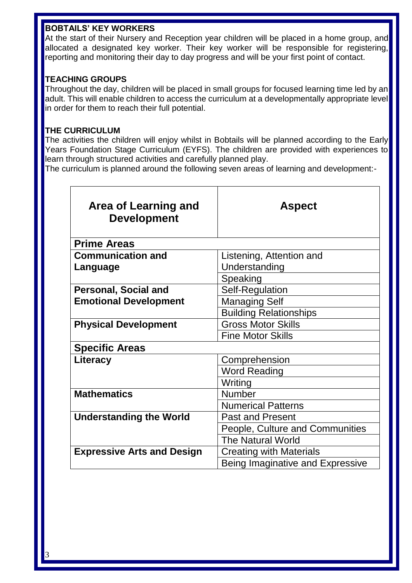#### **BOBTAILS' KEY WORKERS**

At the start of their Nursery and Reception year children will be placed in a home group, and allocated a designated key worker. Their key worker will be responsible for registering, reporting and monitoring their day to day progress and will be your first point of contact.

#### **TEACHING GROUPS**

Throughout the day, children will be placed in small groups for focused learning time led by an adult. This will enable children to access the curriculum at a developmentally appropriate level in order for them to reach their full potential.

#### **THE CURRICULUM**

The activities the children will enjoy whilst in Bobtails will be planned according to the Early Years Foundation Stage Curriculum (EYFS). The children are provided with experiences to learn through structured activities and carefully planned play.

The curriculum is planned around the following seven areas of learning and development:-

| Area of Learning and<br><b>Development</b> | <b>Aspect</b>                    |  |
|--------------------------------------------|----------------------------------|--|
| <b>Prime Areas</b>                         |                                  |  |
| <b>Communication and</b>                   | Listening, Attention and         |  |
| Language                                   | Understanding                    |  |
|                                            | Speaking                         |  |
| <b>Personal, Social and</b>                | Self-Regulation                  |  |
| <b>Emotional Development</b>               | <b>Managing Self</b>             |  |
|                                            | <b>Building Relationships</b>    |  |
| <b>Physical Development</b>                | <b>Gross Motor Skills</b>        |  |
|                                            | <b>Fine Motor Skills</b>         |  |
| <b>Specific Areas</b>                      |                                  |  |
| Literacy                                   | Comprehension                    |  |
|                                            | Word Reading                     |  |
|                                            | Writing                          |  |
| <b>Mathematics</b>                         | Number                           |  |
|                                            | <b>Numerical Patterns</b>        |  |
| <b>Understanding the World</b>             | <b>Past and Present</b>          |  |
|                                            | People, Culture and Communities  |  |
|                                            | <b>The Natural World</b>         |  |
| <b>Expressive Arts and Design</b>          | <b>Creating with Materials</b>   |  |
|                                            | Being Imaginative and Expressive |  |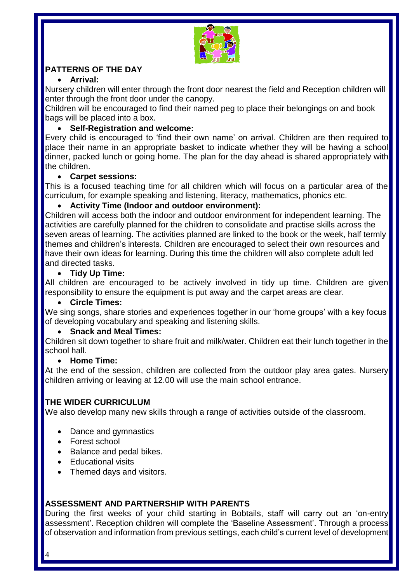

#### **PATTERNS OF THE DAY**

#### • **Arrival:**

Nursery children will enter through the front door nearest the field and Reception children will enter through the front door under the canopy.

Children will be encouraged to find their named peg to place their belongings on and book bags will be placed into a box.

#### • **Self-Registration and welcome:**

Every child is encouraged to 'find their own name' on arrival. Children are then required to place their name in an appropriate basket to indicate whether they will be having a school dinner, packed lunch or going home. The plan for the day ahead is shared appropriately with the children.

#### • **Carpet sessions:**

This is a focused teaching time for all children which will focus on a particular area of the curriculum, for example speaking and listening, literacy, mathematics, phonics etc.

#### • **Activity Time (Indoor and outdoor environment):**

Children will access both the indoor and outdoor environment for independent learning. The activities are carefully planned for the children to consolidate and practise skills across the seven areas of learning. The activities planned are linked to the book or the week, half termly themes and children's interests. Children are encouraged to select their own resources and have their own ideas for learning. During this time the children will also complete adult led and directed tasks.

#### • **Tidy Up Time:**

All children are encouraged to be actively involved in tidy up time. Children are given responsibility to ensure the equipment is put away and the carpet areas are clear.

#### • **Circle Times:**

We sing songs, share stories and experiences together in our 'home groups' with a key focus of developing vocabulary and speaking and listening skills.

#### • **Snack and Meal Times:**

Children sit down together to share fruit and milk/water. Children eat their lunch together in the school hall.

#### • **Home Time:**

At the end of the session, children are collected from the outdoor play area gates. Nursery children arriving or leaving at 12.00 will use the main school entrance.

#### **THE WIDER CURRICULUM**

We also develop many new skills through a range of activities outside of the classroom.

- Dance and gymnastics
- Forest school
- Balance and pedal bikes.
- Educational visits
- Themed days and visitors.

#### **ASSESSMENT AND PARTNERSHIP WITH PARENTS**

During the first weeks of your child starting in Bobtails, staff will carry out an 'on-entry assessment'. Reception children will complete the 'Baseline Assessment'. Through a process of observation and information from previous settings, each child's current level of development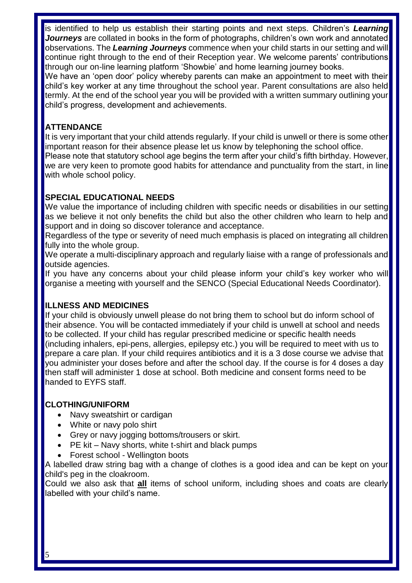is identified to help us establish their starting points and next steps. Children's *Learning Journeys* are collated in books in the form of photographs, children's own work and annotated observations. The *Learning Journeys* commence when your child starts in our setting and will continue right through to the end of their Reception year. We welcome parents' contributions through our on-line learning platform 'Showbie' and home learning journey books.

We have an 'open door' policy whereby parents can make an appointment to meet with their child's key worker at any time throughout the school year. Parent consultations are also held termly. At the end of the school year you will be provided with a written summary outlining your child's progress, development and achievements.

#### **ATTENDANCE**

It is very important that your child attends regularly. If your child is unwell or there is some other important reason for their absence please let us know by telephoning the school office. Please note that statutory school age begins the term after your child's fifth birthday. However, we are very keen to promote good habits for attendance and punctuality from the start, in line with whole school policy.

#### **SPECIAL EDUCATIONAL NEEDS**

We value the importance of including children with specific needs or disabilities in our setting as we believe it not only benefits the child but also the other children who learn to help and support and in doing so discover tolerance and acceptance.

Regardless of the type or severity of need much emphasis is placed on integrating all children fully into the whole group.

We operate a multi-disciplinary approach and regularly liaise with a range of professionals and outside agencies.

If you have any concerns about your child please inform your child's key worker who will organise a meeting with yourself and the SENCO (Special Educational Needs Coordinator).

#### **ILLNESS AND MEDICINES**

If your child is obviously unwell please do not bring them to school but do inform school of their absence. You will be contacted immediately if your child is unwell at school and needs to be collected. If your child has regular prescribed medicine or specific health needs (including inhalers, epi-pens, allergies, epilepsy etc.) you will be required to meet with us to prepare a care plan. If your child requires antibiotics and it is a 3 dose course we advise that you administer your doses before and after the school day. If the course is for 4 doses a day then staff will administer 1 dose at school. Both medicine and consent forms need to be handed to EYFS staff.

#### **CLOTHING/UNIFORM**

- Navy sweatshirt or cardigan
- White or navy polo shirt
- Grey or navy jogging bottoms/trousers or skirt.
- PE kit Navy shorts, white t-shirt and black pumps
- Forest school Wellington boots

A labelled draw string bag with a change of clothes is a good idea and can be kept on your child's peg in the cloakroom.

Could we also ask that **all** items of school uniform, including shoes and coats are clearly labelled with your child's name.